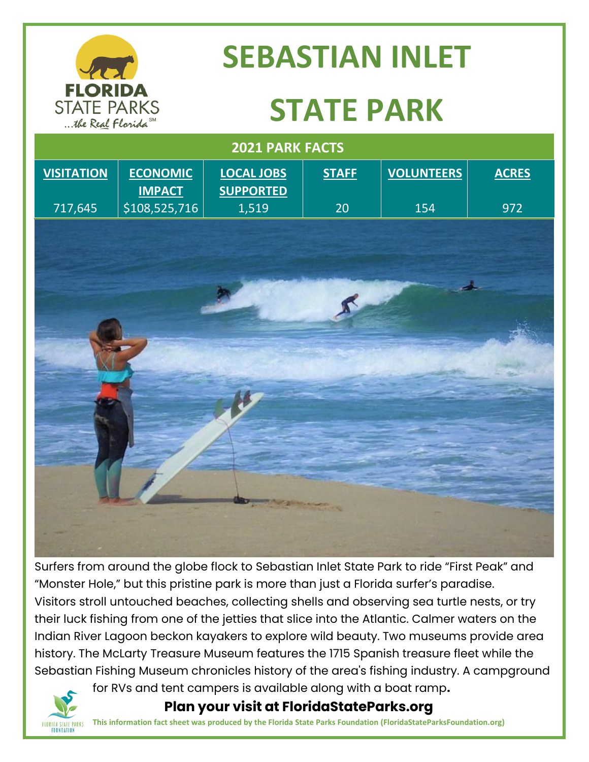

## **SEBASTIAN INLET**

## **STATE PARK**

| 2021 PARK FACTS   |                                  |                                       |                 |                   |              |
|-------------------|----------------------------------|---------------------------------------|-----------------|-------------------|--------------|
| <b>VISITATION</b> | <b>ECONOMIC</b><br><b>IMPACT</b> | <b>LOCAL JOBS</b><br><b>SUPPORTED</b> | <b>STAFF</b>    | <b>VOLUNTEERS</b> | <b>ACRES</b> |
| 717,645           | \$108,525,716                    | 1,519                                 | 20              | 154               | 972          |
|                   |                                  |                                       |                 |                   |              |
|                   |                                  |                                       |                 |                   |              |
|                   |                                  |                                       |                 |                   |              |
|                   |                                  |                                       |                 |                   | لمعد         |
|                   |                                  |                                       | $\mathcal{R}$   |                   |              |
|                   |                                  |                                       |                 |                   |              |
|                   |                                  |                                       |                 |                   |              |
|                   |                                  |                                       |                 |                   |              |
|                   |                                  |                                       |                 |                   |              |
|                   |                                  |                                       |                 |                   |              |
|                   |                                  |                                       |                 |                   |              |
|                   |                                  |                                       |                 |                   |              |
|                   |                                  |                                       |                 |                   |              |
|                   |                                  |                                       |                 |                   |              |
|                   |                                  |                                       | <b>STERN NO</b> |                   |              |
|                   |                                  |                                       |                 |                   |              |
|                   |                                  |                                       |                 |                   |              |

Surfers from around the globe flock to Sebastian Inlet State Park to ride "First Peak" and "Monster Hole," but this pristine park is more than just a Florida surfer's paradise. Visitors stroll untouched beaches, collecting shells and observing sea turtle nests, or try their luck fishing from one of the jetties that slice into the Atlantic. Calmer waters on the Indian River Lagoon beckon kayakers to explore wild beauty. Two museums provide area history. The McLarty Treasure Museum features the 1715 Spanish treasure fleet while the Sebastian Fishing Museum chronicles history of the area's fishing industry. A campground



for RVs and tent campers is available along with a boat ramp**.**

 **Plan your visit at FloridaStateParks.org**

**This information fact sheet was produced by the Florida State Parks Foundation (FloridaStateParksFoundation.org)**